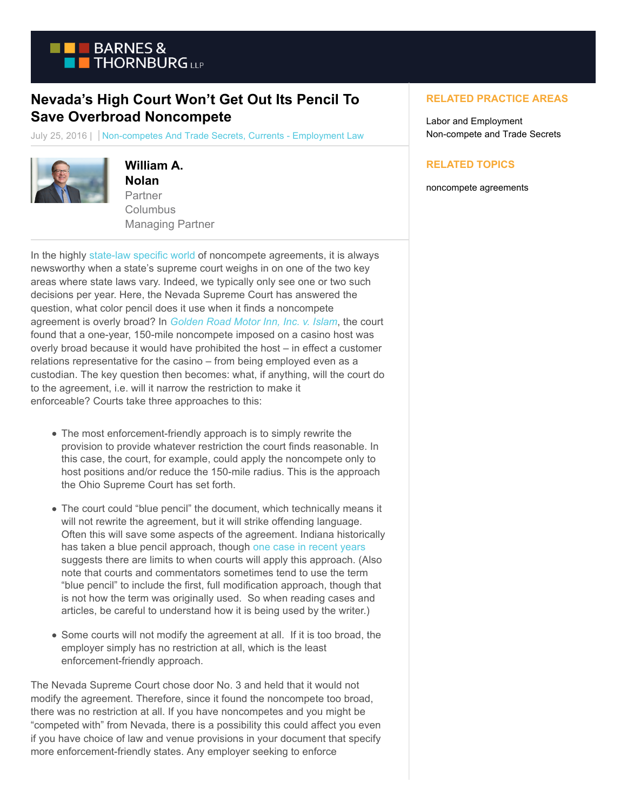

## **Nevada's High Court Won't Get Out Its Pencil To Save Overbroad Noncompete**

July 25, 2016 | Non-competes And Trade Secrets, Currents - Employment Law



## **William A.**

**Nolan** Partner **Columbus** Managing Partner

In the highly [state-law specific world o](https://www.btcurrentsemployment.com/state-lines-may-not-be-when-it-comes-to-noncompetes-09-09-2013/)f noncompete agreements, it is always newsworthy when a state's supreme court weighs in on one of the two key areas where state laws vary. Indeed, we typically only see one or two such decisions per year. Here, the Nevada Supreme Court has answered the question, what color pencil does it use when it finds a noncompete agreement is overly broad? In *[Golden Road Motor Inn, Inc. v. Islam](http://caselaw.findlaw.com/nv-supreme-court/1743327.html)*, the court found that a one-year, 150-mile noncompete imposed on a casino host was overly broad because it would have prohibited the host – in effect a customer relations representative for the casino – from being employed even as a custodian. The key question then becomes: what, if anything, will the court do to the agreement, i.e. will it narrow the restriction to make it enforceable? Courts take three approaches to this:

- The most enforcement-friendly approach is to simply rewrite the provision to provide whatever restriction the court finds reasonable. In this case, the court, for example, could apply the noncompete only to host positions and/or reduce the 150-mile radius. This is the approach the Ohio Supreme Court has set forth.
- The court could "blue pencil" the document, which technically means it will not rewrite the agreement, but it will strike offending language. Often this will save some aspects of the agreement. Indiana historically has taken a blue pencil approach, though [one case in recent years](https://www.btcurrentsemployment.com/have-you-double-checked-the-language-of-your-non-compete-lately-if-not-you-need-to/) suggests there are limits to when courts will apply this approach. (Also note that courts and commentators sometimes tend to use the term "blue pencil" to include the first, full modification approach, though that is not how the term was originally used. So when reading cases and articles, be careful to understand how it is being used by the writer.)
- Some courts will not modify the agreement at all. If it is too broad, the employer simply has no restriction at all, which is the least enforcement-friendly approach.

The Nevada Supreme Court chose door No. 3 and held that it would not modify the agreement. Therefore, since it found the noncompete too broad, there was no restriction at all. If you have noncompetes and you might be "competed with" from Nevada, there is a possibility this could affect you even if you have choice of law and venue provisions in your document that specify more enforcement-friendly states. Any employer seeking to enforce

## **RELATED PRACTICE AREAS**

Labor and Employment Non-compete and Trade Secrets

## **RELATED TOPICS**

noncompete agreements